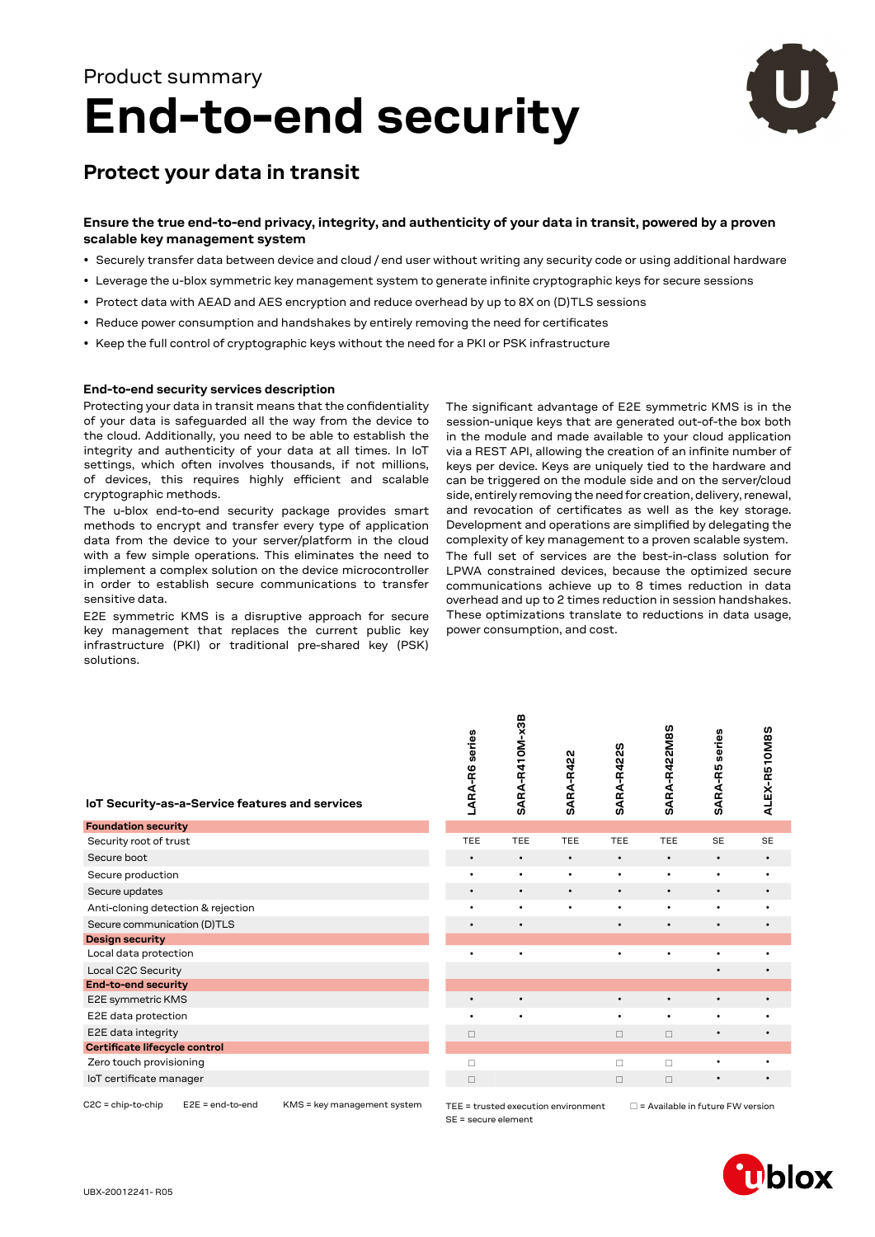# **End-to-end security** Product summary



### **Protect your data in transit**

### **Ensure the true end-to-end privacy, integrity, and authenticity of your data in transit, powered by a proven scalable key management system**

- Securely transfer data between device and cloud / end user without writing any security code or using additional hardware
- Leverage the u-blox symmetric key management system to generate infinite cryptographic keys for secure sessions
- Protect data with AEAD and AES encryption and reduce overhead by up to 8X on (D)TLS sessions
- Reduce power consumption and handshakes by entirely removing the need for certificates
- Keep the full control of cryptographic keys without the need for a PKI or PSK infrastructure

### **End-to-end security services description**

Protecting your data in transit means that the confidentiality of your data is safeguarded all the way from the device to the cloud. Additionally, you need to be able to establish the integrity and authenticity of your data at all times. In IoT settings, which often involves thousands, if not millions, of devices, this requires highly efficient and scalable cryptographic methods.

The u-blox end-to-end security package provides smart methods to encrypt and transfer every type of application data from the device to your server/platform in the cloud with a few simple operations. This eliminates the need to implement a complex solution on the device microcontroller in order to establish secure communications to transfer sensitive data.

E2E symmetric KMS is a disruptive approach for secure key management that replaces the current public key infrastructure (PKI) or traditional pre-shared key (PSK) solutions.

The significant advantage of E2E symmetric KMS is in the session-unique keys that are generated out-of-the box both in the module and made available to your cloud application via a REST API, allowing the creation of an infinite number of keys per device. Keys are uniquely tied to the hardware and can be triggered on the module side and on the server/cloud side, entirely removing the need for creation, delivery, renewal, and revocation of certificates as well as the key storage. Development and operations are simplified by delegating the complexity of key management to a proven scalable system.

The full set of services are the best-in-class solution for LPWA constrained devices, because the optimized secure communications achieve up to 8 times reduction in data overhead and up to 2 times reduction in session handshakes. These optimizations translate to reductions in data usage, power consumption, and cost.

| IoT Security-as-a-Service features and services | LARA-R6    | ARA-R4<br>ທ | SARA-R42  | Э<br>œ<br><b>SARA</b> | ч<br>Ě<br><b>ARA</b><br>ທ | ARA-R5<br><b>UÑ</b> | ᠇<br>LEX-R5<br>₹ |
|-------------------------------------------------|------------|-------------|-----------|-----------------------|---------------------------|---------------------|------------------|
| <b>Foundation security</b>                      |            |             |           |                       |                           |                     |                  |
| Security root of trust                          | <b>TEE</b> | <b>TEE</b>  | TEE       | <b>TEE</b>            | <b>TEE</b>                | <b>SE</b>           | <b>SE</b>        |
| Secure boot                                     | $\bullet$  | $\bullet$   | $\bullet$ | $\bullet$             | $\bullet$                 | $\bullet$           | $\bullet$        |
| Secure production                               | ٠          | $\bullet$   | ٠         | $\bullet$             | $\bullet$                 | $\bullet$           | $\bullet$        |
| Secure updates                                  | $\bullet$  | $\bullet$   | $\bullet$ | $\bullet$             | $\bullet$                 | $\bullet$           | $\bullet$        |
| Anti-cloning detection & rejection              | ٠          | $\bullet$   | ٠         | $\bullet$             | ٠                         | $\bullet$           | ٠                |
| Secure communication (D)TLS                     | $\bullet$  | $\bullet$   |           | $\bullet$             | ٠                         | $\bullet$           | $\bullet$        |
| <b>Design security</b>                          |            |             |           |                       |                           |                     |                  |
| Local data protection                           |            | ٠           |           |                       | ٠                         |                     | ٠                |
| Local C2C Security                              |            |             |           |                       |                           | $\bullet$           | $\bullet$        |
| <b>End-to-end security</b>                      |            |             |           |                       |                           |                     |                  |
| E2E symmetric KMS                               | $\bullet$  | $\bullet$   |           | $\bullet$             |                           | $\bullet$           | $\bullet$        |
| E2E data protection                             | ٠          | $\bullet$   |           | ٠                     | ٠                         | ٠                   | ٠                |
| E2E data integrity                              | $\Box$     |             |           | $\Box$                | $\Box$                    | $\bullet$           | ٠                |
| Certificate lifecycle control                   |            |             |           |                       |                           |                     |                  |
| Zero touch provisioning                         | $\Box$     |             |           | П                     | П                         |                     | ٠                |
| loT certificate manager                         | □          |             |           | $\Box$                | П                         | $\bullet$           | $\bullet$        |
|                                                 |            |             |           |                       |                           |                     |                  |

| LARA-R6 series | SARA-R410M-x3B | <b>SARA-R422</b> | SARA-R422S | SARA-R422M8S | <b>SARA-R5</b> series | ALEX-R510M8S |
|----------------|----------------|------------------|------------|--------------|-----------------------|--------------|
| TEE            | TEE            | TEE              | TEE        | TEE          | SE                    | SE           |
| $\bullet$      |                |                  |            | ٠            |                       | $\bullet$    |
|                |                |                  | $\bullet$  |              |                       |              |
|                |                |                  |            |              |                       |              |
|                |                | ٠                | ٠          |              |                       |              |
|                |                |                  |            |              |                       |              |
|                |                |                  |            |              |                       |              |
|                | $\bullet$      |                  |            |              |                       |              |
|                |                |                  |            |              |                       |              |
| $\bullet$      | ٠              |                  | $\bullet$  | $\bullet$    |                       | $\bullet$    |
|                |                |                  | $\bullet$  | ٠            |                       |              |
| $\Box$         |                |                  | $\Box$     | $\Box$       |                       |              |
|                |                |                  |            |              |                       |              |
| П              |                |                  | п          | П            |                       |              |
| $\Box$         |                |                  | $\Box$     | $\Box$       | $\bullet$             |              |
|                |                |                  |            |              |                       |              |

C2C = chip-to-chip E2E = end-to-end KMS = key management system

SE = secure element

TEE = trusted execution environment  $\Box$  = Available in future FW version